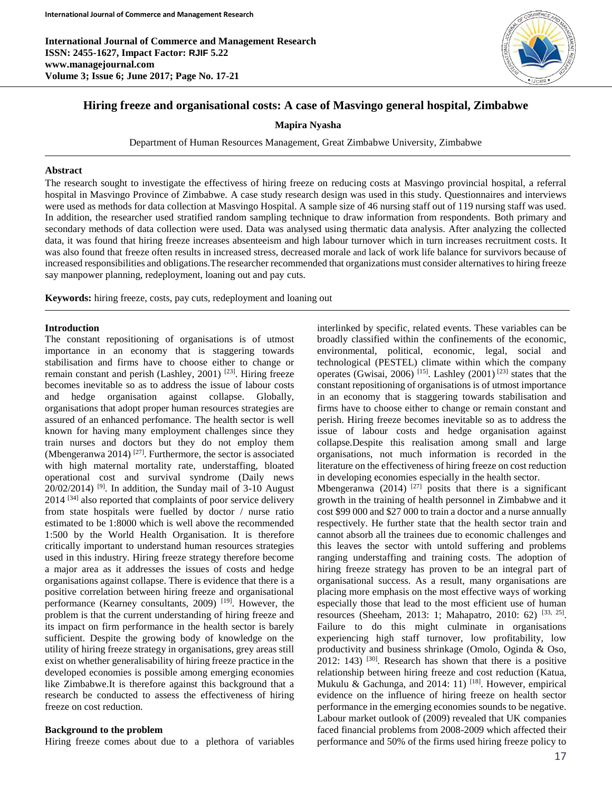

# **Hiring freeze and organisational costs: A case of Masvingo general hospital, Zimbabwe**

**Mapira Nyasha**

Department of Human Resources Management, Great Zimbabwe University, Zimbabwe

#### **Abstract**

The research sought to investigate the effectivess of hiring freeze on reducing costs at Masvingo provincial hospital, a referral hospital in Masvingo Province of Zimbabwe. A case study research design was used in this study. Questionnaires and interviews were used as methods for data collection at Masvingo Hospital. A sample size of 46 nursing staff out of 119 nursing staff was used. In addition, the researcher used stratified random sampling technique to draw information from respondents. Both primary and secondary methods of data collection were used. Data was analysed using thermatic data analysis. After analyzing the collected data, it was found that hiring freeze increases absenteeism and high labour turnover which in turn increases recruitment costs. It was also found that freeze often results in increased stress, decreased morale and lack of work life balance for survivors because of increased responsibilities and obligations.The researcher recommended that organizations must consider alternatives to hiring freeze say manpower planning, redeployment, loaning out and pay cuts.

**Keywords:** hiring freeze, costs, pay cuts, redeployment and loaning out

#### **Introduction**

The constant repositioning of organisations is of utmost importance in an economy that is staggering towards stabilisation and firms have to choose either to change or remain constant and perish (Lashley, 2001)<sup>[23]</sup>. Hiring freeze becomes inevitable so as to address the issue of labour costs and hedge organisation against collapse. Globally, organisations that adopt proper human resources strategies are assured of an enhanced perfomance. The health sector is well known for having many employment challenges since they train nurses and doctors but they do not employ them (Mbengeranwa 2014)  $[27]$ . Furthermore, the sector is associated with high maternal mortality rate, understaffing, bloated operational cost and survival syndrome (Daily news  $20/02/2014$ )<sup>[9]</sup>. In addition, the Sunday mail of 3-10 August 2014 [34] also reported that complaints of poor service delivery from state hospitals were fuelled by doctor / nurse ratio estimated to be 1:8000 which is well above the recommended 1:500 by the World Health Organisation. It is therefore critically important to understand human resources strategies used in this industry. Hiring freeze strategy therefore become a major area as it addresses the issues of costs and hedge organisations against collapse. There is evidence that there is a positive correlation between hiring freeze and organisational performance (Kearney consultants, 2009)<sup>[19]</sup>. However, the problem is that the current understanding of hiring freeze and its impact on firm performance in the health sector is barely sufficient. Despite the growing body of knowledge on the utility of hiring freeze strategy in organisations, grey areas still exist on whether generalisability of hiring freeze practice in the developed economies is possible among emerging economies like Zimbabwe.It is therefore against this background that a research be conducted to assess the effectiveness of hiring freeze on cost reduction.

#### **Background to the problem**

Hiring freeze comes about due to a plethora of variables

interlinked by specific, related events. These variables can be broadly classified within the confinements of the economic, environmental, political, economic, legal, social and technological (PESTEL) climate within which the company operates (Gwisai, 2006)<sup>[15]</sup>. Lashley (2001)<sup>[23]</sup> states that the constant repositioning of organisations is of utmost importance in an economy that is staggering towards stabilisation and firms have to choose either to change or remain constant and perish. Hiring freeze becomes inevitable so as to address the issue of labour costs and hedge organisation against collapse.Despite this realisation among small and large organisations, not much information is recorded in the literature on the effectiveness of hiring freeze on cost reduction in developing economies especially in the health sector. Mbengeranwa (2014)  $[27]$  posits that there is a significant growth in the training of health personnel in Zimbabwe and it cost \$99 000 and \$27 000 to train a doctor and a nurse annually respectively. He further state that the health sector train and cannot absorb all the trainees due to economic challenges and this leaves the sector with untold suffering and problems ranging understaffing and training costs. The adoption of hiring freeze strategy has proven to be an integral part of organisational success. As a result, many organisations are placing more emphasis on the most effective ways of working especially those that lead to the most efficient use of human resources (Sheeham, 2013: 1; Mahapatro, 2010: 62)<sup>[33, 25]</sup>. Failure to do this might culminate in organisations experiencing high staff turnover, low profitability, low productivity and business shrinkage (Omolo, Oginda & Oso,  $2012$ : 143)<sup>[30]</sup>. Research has shown that there is a positive relationship between hiring freeze and cost reduction (Katua, Mukulu & Gachunga, and 2014: 11) [18]. However, empirical evidence on the influence of hiring freeze on health sector performance in the emerging economies sounds to be negative. Labour market outlook of (2009) revealed that UK companies faced financial problems from 2008-2009 which affected their performance and 50% of the firms used hiring freeze policy to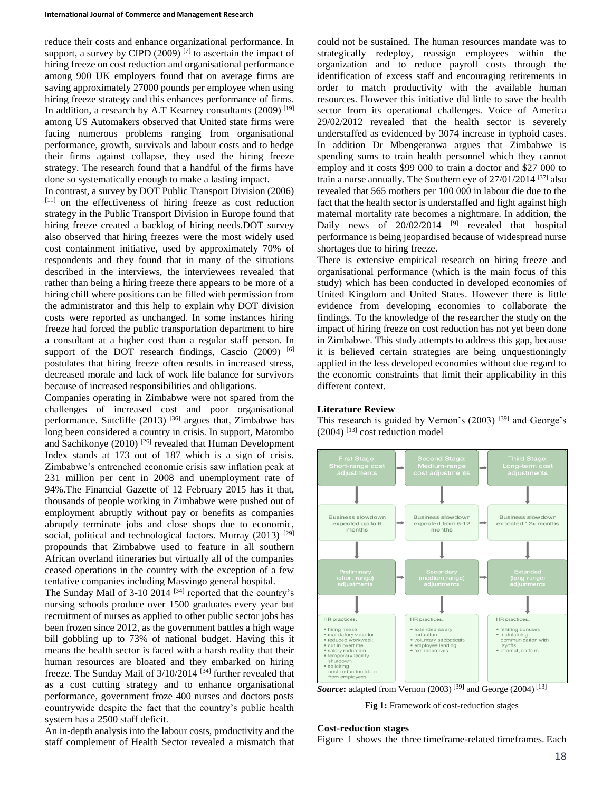reduce their costs and enhance organizational performance. In support, a survey by CIPD (2009)  $[7]$  to ascertain the impact of hiring freeze on cost reduction and organisational performance among 900 UK employers found that on average firms are saving approximately 27000 pounds per employee when using hiring freeze strategy and this enhances performance of firms. In addition, a research by A.T Kearney consultants  $(2009)$ <sup>[19]</sup> among US Automakers observed that United state firms were facing numerous problems ranging from organisational performance, growth, survivals and labour costs and to hedge their firms against collapse, they used the hiring freeze strategy. The research found that a handful of the firms have done so systematically enough to make a lasting impact.

In contrast, a survey by DOT Public Transport Division (2006) [11] on the effectiveness of hiring freeze as cost reduction strategy in the Public Transport Division in Europe found that hiring freeze created a backlog of hiring needs.DOT survey also observed that hiring freezes were the most widely used cost containment initiative, used by approximately 70% of respondents and they found that in many of the situations described in the interviews, the interviewees revealed that rather than being a hiring freeze there appears to be more of a hiring chill where positions can be filled with permission from the administrator and this help to explain why DOT division costs were reported as unchanged. In some instances hiring freeze had forced the public transportation department to hire a consultant at a higher cost than a regular staff person. In support of the DOT research findings, Cascio (2009) [6] postulates that hiring freeze often results in increased stress, decreased morale and lack of work life balance for survivors because of increased responsibilities and obligations.

Companies operating in Zimbabwe were not spared from the challenges of increased cost and poor organisational performance. Sutcliffe  $(2013)$  <sup>[36]</sup> argues that, Zimbabwe has long been considered a country in crisis. In support, Matombo and Sachikonye (2010)<sup>[26]</sup> revealed that Human Development Index stands at 173 out of 187 which is a sign of crisis. Zimbabwe's entrenched economic crisis saw inflation peak at 231 million per cent in 2008 and unemployment rate of 94%.The Financial Gazette of 12 February 2015 has it that, thousands of people working in Zimbabwe were pushed out of employment abruptly without pay or benefits as companies abruptly terminate jobs and close shops due to economic, social, political and technological factors. Murray  $(2013)$ <sup>[29]</sup> propounds that Zimbabwe used to feature in all southern African overland itineraries but virtually all of the companies ceased operations in the country with the exception of a few tentative companies including Masvingo general hospital.

The Sunday Mail of  $3-10$  2014  $[34]$  reported that the country's nursing schools produce over 1500 graduates every year but recruitment of nurses as applied to other public sector jobs has been frozen since 2012, as the government battles a high wage bill gobbling up to 73% of national budget. Having this it means the health sector is faced with a harsh reality that their human resources are bloated and they embarked on hiring freeze. The Sunday Mail of 3/10/2014<sup>[34]</sup> further revealed that as a cost cutting strategy and to enhance organisational performance, government froze 400 nurses and doctors posts countrywide despite the fact that the country's public health system has a 2500 staff deficit.

An in-depth analysis into the labour costs, productivity and the staff complement of Health Sector revealed a mismatch that could not be sustained. The human resources mandate was to strategically redeploy, reassign employees within the organization and to reduce payroll costs through the identification of excess staff and encouraging retirements in order to match productivity with the available human resources. However this initiative did little to save the health sector from its operational challenges. Voice of America 29/02/2012 revealed that the health sector is severely understaffed as evidenced by 3074 increase in typhoid cases. In addition Dr Mbengeranwa argues that Zimbabwe is spending sums to train health personnel which they cannot employ and it costs \$99 000 to train a doctor and \$27 000 to train a nurse annually. The Southern eye of  $27/01/2014$  [37] also revealed that 565 mothers per 100 000 in labour die due to the fact that the health sector is understaffed and fight against high maternal mortality rate becomes a nightmare. In addition, the Daily news of  $20/02/2014$  <sup>[9]</sup> revealed that hospital performance is being jeopardised because of widespread nurse shortages due to hiring freeze.

There is extensive empirical research on hiring freeze and organisational performance (which is the main focus of this study) which has been conducted in developed economies of United Kingdom and United States. However there is little evidence from developing economies to collaborate the findings. To the knowledge of the researcher the study on the impact of hiring freeze on cost reduction has not yet been done in Zimbabwe. This study attempts to address this gap, because it is believed certain strategies are being unquestioningly applied in the less developed economies without due regard to the economic constraints that limit their applicability in this different context.

## **Literature Review**

This research is guided by Vernon's  $(2003)$  [39] and George's  $(2004)$ <sup>[13]</sup> cost reduction model



**Source:** adapted from Vernon  $(2003)$ <sup>[39]</sup> and George  $(2004)$ <sup>[13]</sup>

**Fig 1:** Framework of cost-reduction stages

### **Cost-reduction stages**

Figure 1 shows the three timeframe-related timeframes. Each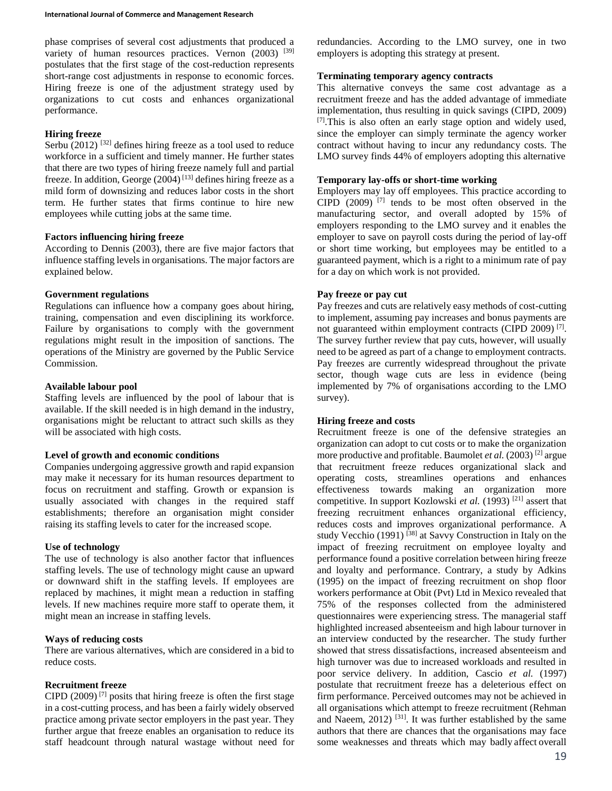phase comprises of several cost adjustments that produced a variety of human resources practices. Vernon  $(2003)$ <sup>[39]</sup> postulates that the first stage of the cost-reduction represents short-range cost adjustments in response to economic forces. Hiring freeze is one of the adjustment strategy used by organizations to cut costs and enhances organizational performance.

## **Hiring freeze**

Serbu  $(2012)$  <sup>[32]</sup> defines hiring freeze as a tool used to reduce workforce in a sufficient and timely manner. He further states that there are two types of hiring freeze namely full and partial freeze. In addition, George  $(2004)$ <sup>[13]</sup> defines hiring freeze as a mild form of downsizing and reduces labor costs in the short term. He further states that firms continue to hire new employees while cutting jobs at the same time.

## **Factors influencing hiring freeze**

According to Dennis (2003), there are five major factors that influence staffing levels in organisations. The major factors are explained below.

## **Government regulations**

Regulations can influence how a company goes about hiring, training, compensation and even disciplining its workforce. Failure by organisations to comply with the government regulations might result in the imposition of sanctions. The operations of the Ministry are governed by the Public Service Commission.

## **Available labour pool**

Staffing levels are influenced by the pool of labour that is available. If the skill needed is in high demand in the industry, organisations might be reluctant to attract such skills as they will be associated with high costs.

## **Level of growth and economic conditions**

Companies undergoing aggressive growth and rapid expansion may make it necessary for its human resources department to focus on recruitment and staffing. Growth or expansion is usually associated with changes in the required staff establishments; therefore an organisation might consider raising its staffing levels to cater for the increased scope.

# **Use of technology**

The use of technology is also another factor that influences staffing levels. The use of technology might cause an upward or downward shift in the staffing levels. If employees are replaced by machines, it might mean a reduction in staffing levels. If new machines require more staff to operate them, it might mean an increase in staffing levels.

# **Ways of reducing costs**

There are various alternatives, which are considered in a bid to reduce costs.

# **Recruitment freeze**

CIPD  $(2009)$ <sup>[7]</sup> posits that hiring freeze is often the first stage in a cost-cutting process, and has been a fairly widely observed practice among private sector employers in the past year. They further argue that freeze enables an organisation to reduce its staff headcount through natural wastage without need for redundancies. According to the LMO survey, one in two employers is adopting this strategy at present.

## **Terminating temporary agency contracts**

This alternative conveys the same cost advantage as a recruitment freeze and has the added advantage of immediate implementation, thus resulting in quick savings (CIPD, 2009)  $[7]$ . This is also often an early stage option and widely used, since the employer can simply terminate the agency worker contract without having to incur any redundancy costs. The LMO survey finds 44% of employers adopting this alternative

## **Temporary lay-offs or short-time working**

Employers may lay off employees. This practice according to  $CIPD$  (2009)<sup>[7]</sup> tends to be most often observed in the manufacturing sector, and overall adopted by 15% of employers responding to the LMO survey and it enables the employer to save on payroll costs during the period of lay-off or short time working, but employees may be entitled to a guaranteed payment, which is a right to a minimum rate of pay for a day on which work is not provided.

# **Pay freeze or pay cut**

Pay freezes and cuts are relatively easy methods of cost-cutting to implement, assuming pay increases and bonus payments are not guaranteed within employment contracts (CIPD 2009)<sup>[7]</sup>. The survey further review that pay cuts, however, will usually need to be agreed as part of a change to employment contracts. Pay freezes are currently widespread throughout the private sector, though wage cuts are less in evidence (being implemented by 7% of organisations according to the LMO survey).

# **Hiring freeze and costs**

Recruitment freeze is one of the defensive strategies an organization can adopt to cut costs or to make the organization more productive and profitable. Baumolet *et al.* (2003)<sup>[2]</sup> argue that recruitment freeze reduces organizational slack and operating costs, streamlines operations and enhances effectiveness towards making an organization more competitive. In support Kozlowski *et al.* (1993) [21] assert that freezing recruitment enhances organizational efficiency, reduces costs and improves organizational performance. A study Vecchio (1991)  $^{[38]}$  at Savvy Construction in Italy on the impact of freezing recruitment on employee loyalty and performance found a positive correlation between hiring freeze and loyalty and performance. Contrary, a study by Adkins (1995) on the impact of freezing recruitment on shop floor workers performance at Obit (Pvt) Ltd in Mexico revealed that 75% of the responses collected from the administered questionnaires were experiencing stress. The managerial staff highlighted increased absenteeism and high labour turnover in an interview conducted by the researcher. The study further showed that stress dissatisfactions, increased absenteeism and high turnover was due to increased workloads and resulted in poor service delivery. In addition, Cascio *et al.* (1997) postulate that recruitment freeze has a deleterious effect on firm performance. Perceived outcomes may not be achieved in all organisations which attempt to freeze recruitment (Rehman and Naeem,  $2012$ )<sup>[31]</sup>. It was further established by the same authors that there are chances that the organisations may face some weaknesses and threats which may badly affect overall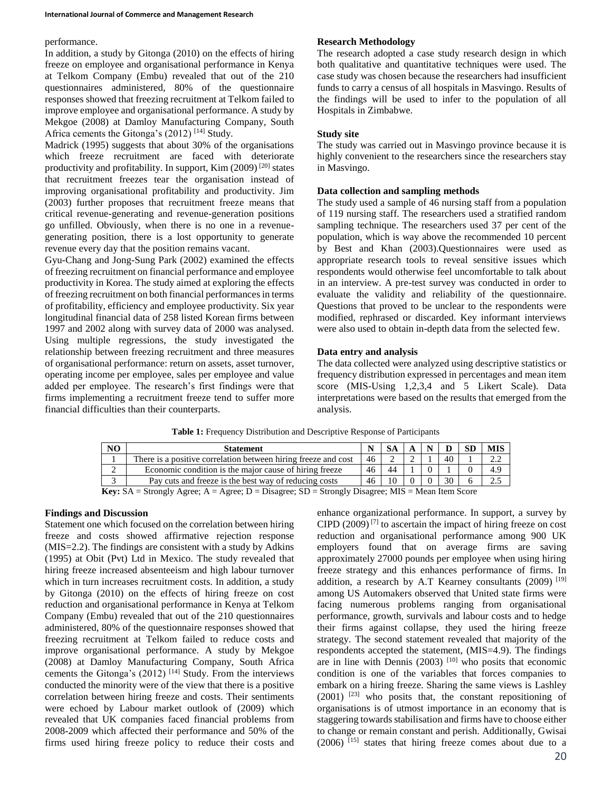## performance.

In addition, a study by Gitonga (2010) on the effects of hiring freeze on employee and organisational performance in Kenya at Telkom Company (Embu) revealed that out of the 210 questionnaires administered, 80% of the questionnaire responses showed that freezing recruitment at Telkom failed to improve employee and organisational performance. A study by Mekgoe (2008) at Damloy Manufacturing Company, South Africa cements the Gitonga's (2012)<sup>[14]</sup> Study.

Madrick (1995) suggests that about 30% of the organisations which freeze recruitment are faced with deteriorate productivity and profitability. In support, Kim (2009)<sup>[20]</sup> states that recruitment freezes tear the organisation instead of improving organisational profitability and productivity. Jim (2003) further proposes that recruitment freeze means that critical revenue-generating and revenue-generation positions go unfilled. Obviously, when there is no one in a revenuegenerating position, there is a lost opportunity to generate revenue every day that the position remains vacant.

Gyu-Chang and Jong-Sung Park (2002) examined the effects of freezing recruitment on financial performance and employee productivity in Korea. The study aimed at exploring the effects of freezing recruitment on both financial performances in terms of profitability, efficiency and employee productivity. Six year longitudinal financial data of 258 listed Korean firms between 1997 and 2002 along with survey data of 2000 was analysed. Using multiple regressions, the study investigated the relationship between freezing recruitment and three measures of organisational performance: return on assets, asset turnover, operating income per employee, sales per employee and value added per employee. The research's first findings were that firms implementing a recruitment freeze tend to suffer more financial difficulties than their counterparts.

# **Research Methodology**

The research adopted a case study research design in which both qualitative and quantitative techniques were used. The case study was chosen because the researchers had insufficient funds to carry a census of all hospitals in Masvingo. Results of the findings will be used to infer to the population of all Hospitals in Zimbabwe.

# **Study site**

The study was carried out in Masvingo province because it is highly convenient to the researchers since the researchers stay in Masvingo.

## **Data collection and sampling methods**

The study used a sample of 46 nursing staff from a population of 119 nursing staff. The researchers used a stratified random sampling technique. The researchers used 37 per cent of the population, which is way above the recommended 10 percent by Best and Khan (2003).Questionnaires were used as appropriate research tools to reveal sensitive issues which respondents would otherwise feel uncomfortable to talk about in an interview. A pre-test survey was conducted in order to evaluate the validity and reliability of the questionnaire. Questions that proved to be unclear to the respondents were modified, rephrased or discarded. Key informant interviews were also used to obtain in-depth data from the selected few.

# **Data entry and analysis**

The data collected were analyzed using descriptive statistics or frequency distribution expressed in percentages and mean item score (MIS-Using 1,2,3,4 and 5 Likert Scale). Data interpretations were based on the results that emerged from the analysis.

| N <sub>O</sub>                                                                                          | <b>Statement</b>                                               |    |    |  |  |    | <b>SD</b> | <b>MIS</b> |
|---------------------------------------------------------------------------------------------------------|----------------------------------------------------------------|----|----|--|--|----|-----------|------------|
|                                                                                                         | There is a positive correlation between hiring freeze and cost | 46 |    |  |  | 40 |           | 2.2        |
| 2                                                                                                       | Economic condition is the major cause of hiring freeze         | 46 | 44 |  |  |    |           | 4.9        |
| $\sim$                                                                                                  | Pay cuts and freeze is the best way of reducing costs          | 46 |    |  |  |    |           |            |
| <b>Key:</b> SA = Strongly Agree; A = Agree; D = Disagree; SD = Strongly Disagree; MIS = Mean Item Score |                                                                |    |    |  |  |    |           |            |

## **Table 1:** Frequency Distribution and Descriptive Response of Participants

## **Findings and Discussion**

Statement one which focused on the correlation between hiring freeze and costs showed affirmative rejection response (MIS=2.2). The findings are consistent with a study by Adkins (1995) at Obit (Pvt) Ltd in Mexico. The study revealed that hiring freeze increased absenteeism and high labour turnover which in turn increases recruitment costs. In addition, a study by Gitonga (2010) on the effects of hiring freeze on cost reduction and organisational performance in Kenya at Telkom Company (Embu) revealed that out of the 210 questionnaires administered, 80% of the questionnaire responses showed that freezing recruitment at Telkom failed to reduce costs and improve organisational performance. A study by Mekgoe (2008) at Damloy Manufacturing Company, South Africa cements the Gitonga's  $(2012)$ <sup>[14]</sup> Study. From the interviews conducted the minority were of the view that there is a positive correlation between hiring freeze and costs. Their sentiments were echoed by Labour market outlook of (2009) which revealed that UK companies faced financial problems from 2008-2009 which affected their performance and 50% of the firms used hiring freeze policy to reduce their costs and enhance organizational performance. In support, a survey by CIPD  $(2009)^{7}$  to ascertain the impact of hiring freeze on cost reduction and organisational performance among 900 UK employers found that on average firms are saving approximately 27000 pounds per employee when using hiring freeze strategy and this enhances performance of firms. In addition, a research by A.T Kearney consultants (2009) [19] among US Automakers observed that United state firms were facing numerous problems ranging from organisational performance, growth, survivals and labour costs and to hedge their firms against collapse, they used the hiring freeze strategy. The second statement revealed that majority of the respondents accepted the statement, (MIS=4.9). The findings are in line with Dennis  $(2003)$  <sup>[10]</sup> who posits that economic condition is one of the variables that forces companies to embark on a hiring freeze. Sharing the same views is Lashley  $(2001)$ <sup>[23]</sup> who posits that, the constant repositioning of organisations is of utmost importance in an economy that is staggering towards stabilisation and firms have to choose either to change or remain constant and perish. Additionally, Gwisai  $(2006)$ <sup>[15]</sup> states that hiring freeze comes about due to a